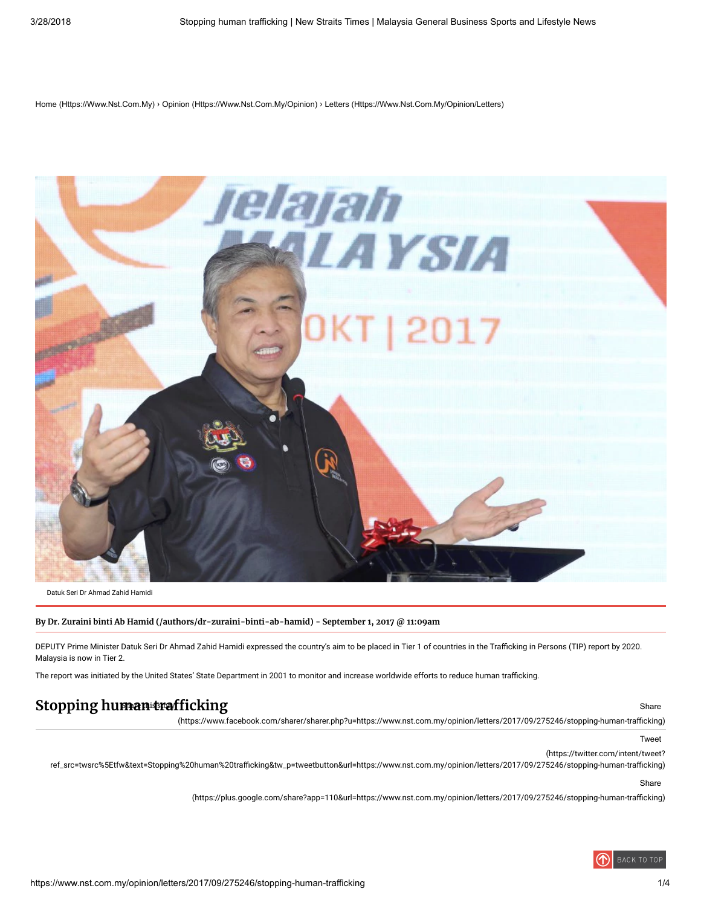[Home \(Https://Www.Nst.Com.My\)](https://www.nst.com.my/) › [Opinion \(Https://Www.Nst.Com.My/Opinion\)](https://www.nst.com.my/opinion) › [Letters \(Https://Www.Nst.Com.My/Opinion/Letters\)](https://www.nst.com.my/opinion/letters)



Datuk Seri Dr Ahmad Zahid Hamidi

By Dr. Zuraini binti Ab Hamid [\(/authors/dr-zuraini-binti-ab-hamid\)](https://www.nst.com.my/authors/dr-zuraini-binti-ab-hamid) - September 1, 2017 @ 11:09am

DEPUTY Prime Minister Datuk Seri Dr Ahmad Zahid Hamidi expressed the country's aim to be placed in Tier 1 of countries in the Trafficking in Persons (TIP) report by 2020. Malaysia is now in Tier 2.

The report was initiated by the United States' State Department in 2001 to monitor and increase worldwide efforts to reduce human trafficking.

# Stopping human trafficking structure is a structure of the structure of the share share

(https://www.facebook.com/sharer/sharer.php?u=https://www.nst.com.my/opinion/letters/2017/09/275246/stopping-human-trafficking)

Tweet

(https://twitter.com/intent/tweet?

ref\_src=twsrc%5Etfw&text=Stopping%20human%20trafficking&tw\_p=tweetbutton&url=https://www.nst.com.my/opinion/letters/2017/09/275246/stopping-human-trafficking)

Share

(https://plus.google.com/share?app=110&url=https://www.nst.com.my/opinion/letters/2017/09/275246/stopping-human-trafficking)